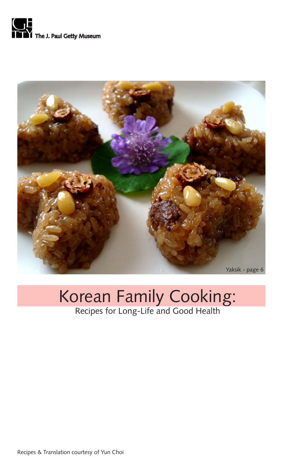



# Korean Family Cooking: Recipes for Long-Life and Good Health

Recipes & Translation courtesy of Yun Choi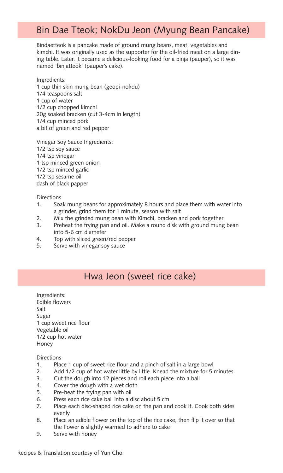### Bin Dae Tteok; NokDu Jeon (Myung Bean Pancake)

Bindaetteok is a pancake made of ground mung beans, meat, vegetables and kimchi. It was originally used as the supporter for the oil-fried meat on a large dining table. Later, it became a delicious-looking food for a binja (pauper), so it was named 'binjatteok' (pauper's cake).

Ingredients: 1 cup thin skin mung bean (geopi-nokdu) 1/4 teaspoons salt 1 cup of water 1/2 cup chopped kimchi 20g soaked bracken (cut 3-4cm in length) 1/4 cup minced pork a bit of green and red pepper

Vinegar Soy Sauce Ingredients: 1/2 tsp soy sauce 1/4 tsp vinegar 1 tsp minced green onion 1/2 tsp minced garlic 1/2 tsp sesame oil dash of black papper

Directions

- 1. Soak mung beans for approximately 8 hours and place them with water into a grinder, grind them for 1 minute, season with salt
- 2. Mix the grinded mung bean with Kimchi, bracken and pork together
- 3. Preheat the frying pan and oil. Make a round disk with ground mung bean into 5-6 cm diameter
- 4. Top with sliced green/red pepper
- 5. Serve with vinegar soy sauce

### Hwa Jeon (sweet rice cake)

Ingredients: Edible flowers Salt Sugar 1 cup sweet rice flour Vegetable oil 1/2 cup hot water Honey

- 1. Place 1 cup of sweet rice flour and a pinch of salt in a large bowl
- 2. Add 1/2 cup of hot water little by little. Knead the mixture for 5 minutes
- 3. Cut the dough into 12 pieces and roll each piece into a ball
- 4. Cover the dough with a wet cloth
- 5. Pre-heat the frying pan with oil
- 6. Press each rice cake ball into a disc about 5 cm
- 7. Place each disc-shaped rice cake on the pan and cook it. Cook both sides evenly
- 8. Place an adible flower on the top of the rice cake, then flip it over so that the flower is slightly warmed to adhere to cake
- 9. Serve with honey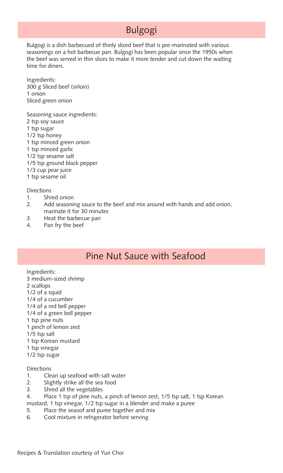## Bulgogi

Bulgogi is a dish barbecued of thinly sliced beef that is pre-marinated with various seasonings on a hot barbecue pan. Bulgogi has been popular since the 1950s when the beef was served in thin slices to make it more tender and cut down the waiting time for diners.

Ingredients: 300 g Sliced beef (sirloin) 1 onion Sliced green onion

Seasoning sauce ingredients: 2 tsp soy sauce 1 tsp sugar 1/2 tsp honey 1 tsp minced green onion 1 tsp minced garlic 1/2 tsp sesame salt 1/5 tsp ground black pepper 1/3 cup pear juice 1 tsp sesame oil

**Directions** 

- 1. Shred onion
- 2. Add seasoning sauce to the beef and mix around with hands and add onion, marinate it for 30 minutes
- 3. Heat the barbecue pan
- 4. Pan fry the beef

### Pine Nut Sauce with Seafood

Ingredients:

- 3 medium-sized shrimp 2 scallops
- 1/2 of a squid
- 1/4 of a cucumber
- 1/4 of a red bell pepper
- 1/4 of a green bell pepper
- 1 tsp pine nuts
- 1 pinch of lemon zest
- 1/5 tsp salt
- 1 tsp Korean mustard
- 1 tsp vinegar
- 1/2 tsp sugar

- 1. Clean up seafood with salt water
- 2. Slightly strike all the sea food
- 3. Shred all the vegetables
- 4. Place 1 tsp of pine nuts, a pinch of lemon zest, 1/5 tsp salt, 1 tsp Korean
- mustard, 1 tsp vinegar, 1/2 tsp sugar in a blender and make a puree
- 5. Place the seaoof and puree together and mix
- 6. Cool mixture in refrigerator before serving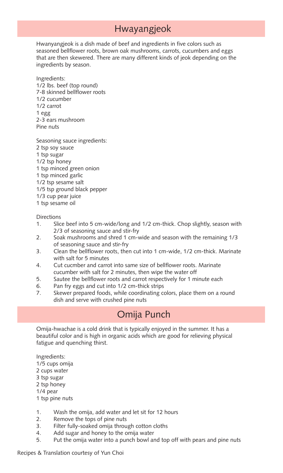### Hwayangjeok

Hwanyangjeok is a dish made of beef and ingredients in five colors such as seasoned bellflower roots, brown oak mushrooms, carrots, cucumbers and eggs that are then skewered. There are many different kinds of jeok depending on the ingredients by season.

Ingredients: 1/2 lbs. beef (top round) 7-8 skinned bellflower roots 1/2 cucumber 1/2 carrot 1 egg 2-3 ears mushroom Pine nuts

Seasoning sauce ingredients: 2 tsp soy sauce 1 tsp sugar

- 1/2 tsp honey
- 1 tsp minced green onion
- 1 tsp minced garlic
- 1/2 tsp sesame salt
- 1/5 tsp ground black pepper
- 1/3 cup pear juice
- 1 tsp sesame oil

#### Directions

- 1. Slice beef into 5 cm-wide/long and 1/2 cm-thick. Chop slightly, season with 2/3 of seasoning sauce and stir-fry
- 2. Soak mushrooms and shred 1 cm-wide and season with the remaining 1/3 of seasoning sauce and stir-fry
- 3. Clean the bellflower roots, then cut into 1 cm-wide, 1/2 cm-thick. Marinate with salt for 5 minutes
- 4. Cut cucmber and carrot into same size of bellflower roots. Marinate cucumber with salt for 2 minutes, then wipe the water off
- 5. Sautee the bellflower roots and carrot respectively for 1 minute each
- 6. Pan fry eggs and cut into 1/2 cm-thick strips
- 7. Skewer prepared foods, while coordinating colors, place them on a round dish and serve with crushed pine nuts

### Omija Punch

Omija-hwachae is a cold drink that is typically enjoyed in the summer. It has a beautiful color and is high in organic acids which are good for relieving physical fatigue and quenching thirst.

Ingredients:

- 1/5 cups omija
- 2 cups water
- 3 tsp sugar
- 2 tsp honey
- 1/4 pear
- 1 tsp pine nuts
- 1. Wash the omija, add water and let sit for 12 hours
- 2. Remove the tops of pine nuts
- 3. Filter fully-soaked omija through cotton cloths
- 4. Add sugar and honey to the omija water
- 5. Put the omija water into a punch bowl and top off with pears and pine nuts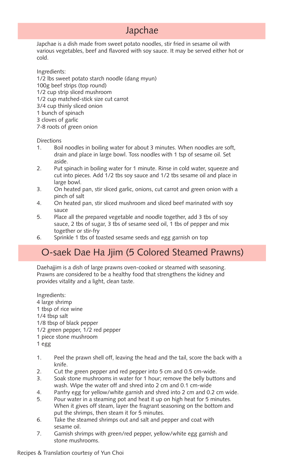### Japchae

Japchae is a dish made from sweet potato noodles, stir fried in sesame oil with various vegetables, beef and flavored with soy sauce. It may be served either hot or cold.

Ingredients: 1/2 lbs sweet potato starch noodle (dang myun) 100g beef strips (top round) 1/2 cup strip sliced mushroom 1/2 cup matched-stick size cut carrot 3/4 cup thinly sliced onion 1 bunch of spinach

- 3 cloves of garlic
- 7-8 roots of green onion

#### **Directions**

- 1. Boil noodles in boiling water for about 3 minutes. When noodles are soft, drain and place in large bowl. Toss noodles with 1 tsp of sesame oil. Set aside.
- 2. Put spinach in boiling water for 1 minute. Rinse in cold water, squeeze and cut into pieces. Add 1/2 tbs soy sauce and 1/2 tbs sesame oil and place in large bowl.
- 3. On heated pan, stir sliced garlic, onions, cut carrot and green onion with a pinch of salt
- 4. On heated pan, stir sliced mushroom and sliced beef marinated with soy sauce
- 5. Place all the prepared vegetable and noodle together, add 3 tbs of soy sauce, 2 tbs of sugar, 3 tbs of sesame seed oil, 1 tbs of pepper and mix together or stir-fry
- 6. Sprinkle 1 tbs of toasted sesame seeds and egg garnish on top

### O-saek Dae Ha Jjim (5 Colored Steamed Prawns)

Daehajjim is a dish of large prawns oven-cooked or steamed with seasoning. Prawns are considered to be a healthy food that strengthens the kidney and provides vitality and a light, clean taste.

Ingredients: 4 large shrimp 1 tbsp of rice wine 1/4 tbsp salt 1/8 tbsp of black pepper 1/2 green pepper, 1/2 red pepper 1 piece stone mushroom

1 egg

- 1. Peel the prawn shell off, leaving the head and the tail, score the back with a knife.
- 2. Cut the green pepper and red pepper into 5 cm and 0.5 cm-wide.
- 3. Soak stone mushrooms in water for 1 hour; remove the belly buttons and wash. Wipe the water off and shred into 2 cm and 0.1 cm-wide
- 4. Panfry egg for yellow/white garnish and shred into 2 cm and 0.2 cm wide.
- 5. Pour water in a steaming pot and heat it up on high heat for 5 minutes. When it gives off steam, layer the fragrant seasoning on the bottom and put the shrimps, then steam it for 5 minutes.
- 6. Take the steamed shrimps out and salt and pepper and coat with sesame oil.
- 7. Garnish shrimps with green/red pepper, yellow/white egg garnish and stone mushrooms.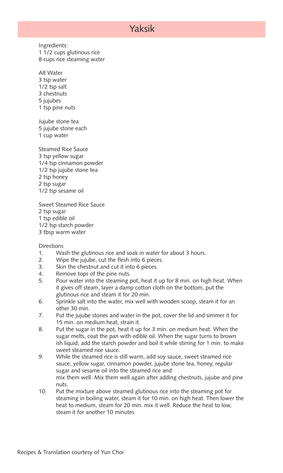### Yaksik

Ingredients: 1 1/2 cups glutinous rice 8 cups rice steaming water

Alt Water 3 tsp water 1/2 tsp salt 3 chestnuts 5 jujubes 1 tsp pine nuts

Jujube stone tea 5 jujube stone each 1 cup water

Steamed Rice Sauce 3 tsp yellow sugar 1/4 tsp cinnamon powder 1/2 tsp jujube stone tea 2 tsp honey 2 tsp sugar 1/2 tsp sesame oil

Sweet Steamed Rice Sauce 2 tsp sugar 1 tsp edible oil

- 1/2 tsp starch powder
- 3 tbsp warm water

- 1. Wash the glutinous rice and soak in water for about 3 hours.
- 2. Wipe the jujube, cut the flesh into 6 pieces.
- 3. Skin the chestnut and cut it into 6 pieces.
- 4. Remove tops of the pine nuts.
- 5. Pour water into the steaming pot, heat it up for 8 min. on high heat. When it gives off steam, layer a damp cotton cloth on the bottom, put the glutinous rice and steam it for 20 min.
- 6. Sprinkle salt into the water, mix well with wooden scoop, steam it for an other 30 min.
- 7. Put the jujube stones and water in the pot, cover the lid and simmer it for 15 min. on medium heat, strain it.
- 8. Put the sugar in the pot, heat it up for 3 min. on medium heat. When the sugar melts, coat the pan with edible oil. When the sugar turns to brown ish liquid, add the starch powder and boil it while stirring for 1 min. to make sweet steamed rice sauce.
- 9. While the steamed rice is still warm, add soy sauce, sweet steamed rice sauce, yellow sugar, cinnamon powder, jujube stone tea, honey, regular sugar and sesame oil into the steamed rice and mix them well. Mix them well again after adding chestnuts, jujube and pine nuts.
- 10. Put the mixture above steamed glutinous rice into the steaming pot for steaming in boiling water, steam it for 10 min. on high heat. Then lower the heat to medium, steam for 20 min. mix it well. Reduce the heat to low, steam it for another 10 minutes